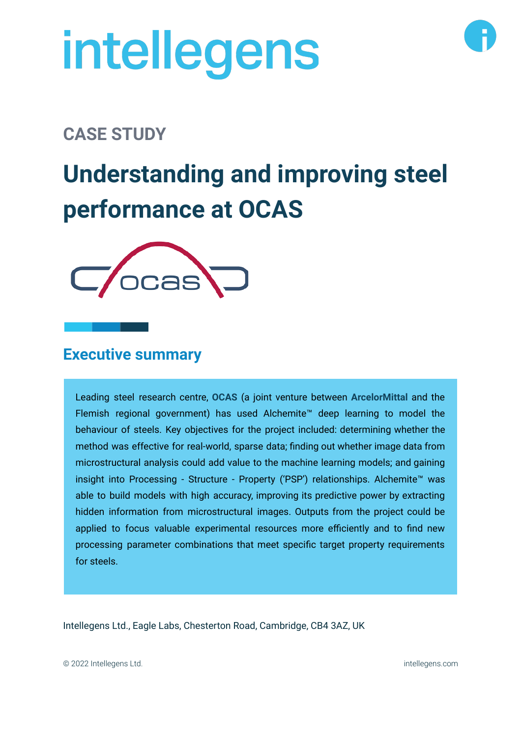# intellegens

### **CASE STUDY**

## **Understanding and improving steel performance at OCAS**



#### **Executive summary**

Leading steel research centre, **OCAS** (a joint venture between **ArcelorMittal** and the Flemish regional government) has used Alchemite™ deep learning to model the behaviour of steels. Key objectives for the project included: determining whether the method was effective for real-world, sparse data; finding out whether image data from microstructural analysis could add value to the machine learning models; and gaining insight into Processing - Structure - Property ('PSP') relationships. Alchemite™ was able to build models with high accuracy, improving its predictive power by extracting hidden information from microstructural images. Outputs from the project could be applied to focus valuable experimental resources more efficiently and to find new processing parameter combinations that meet specific target property requirements for steels.

Intellegens Ltd., Eagle Labs, Chesterton Road, Cambridge, CB4 3AZ, UK

© 2022 Intellegens Ltd. intellegens.com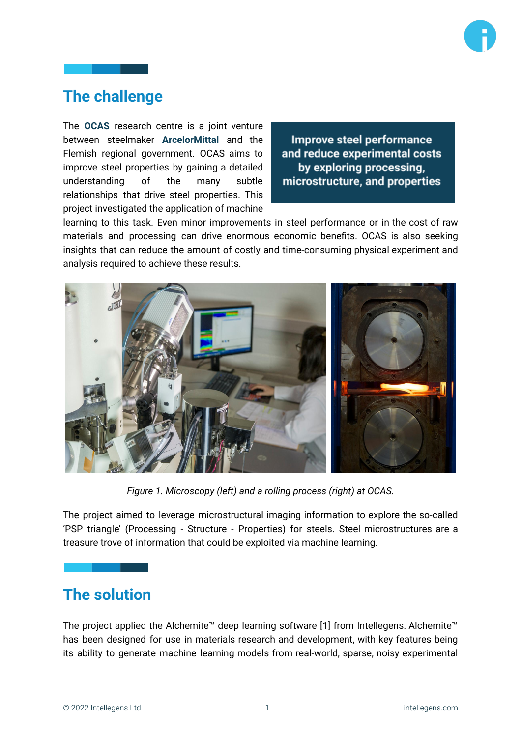

#### **The challenge**

The **OCAS** research centre is a joint venture between steelmaker **ArcelorMittal** and the Flemish regional government. OCAS aims to improve steel properties by gaining a detailed understanding of the many subtle relationships that drive steel properties. This project investigated the application of machine

Improve steel performance and reduce experimental costs by exploring processing, microstructure, and properties

learning to this task. Even minor improvements in steel performance or in the cost of raw materials and processing can drive enormous economic benefits. OCAS is also seeking insights that can reduce the amount of costly and time-consuming physical experiment and analysis required to achieve these results.



*Figure 1. Microscopy (left) and a rolling process (right) at OCAS.*

The project aimed to leverage microstructural imaging information to explore the so-called 'PSP triangle' (Processing - Structure - Properties) for steels. Steel microstructures are a treasure trove of information that could be exploited via machine learning.

#### **The solution**

The project applied the Alchemite™ deep learning software [1] from Intellegens. Alchemite™ has been designed for use in materials research and development, with key features being its ability to generate machine learning models from real-world, sparse, noisy experimental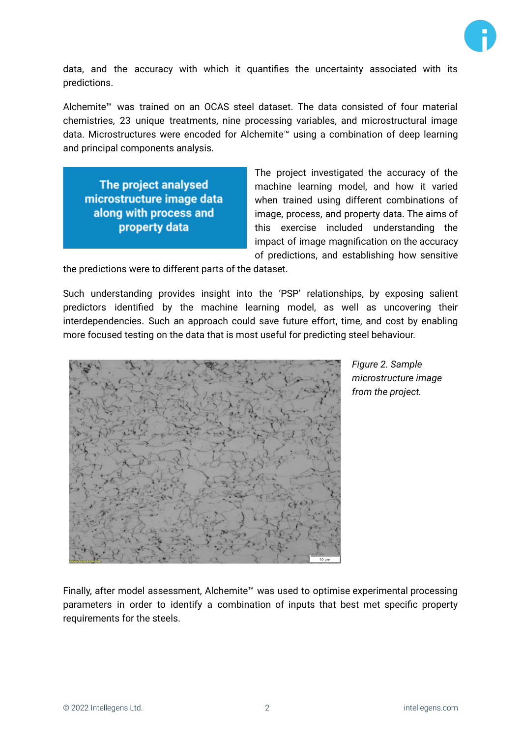

data, and the accuracy with which it quantifies the uncertainty associated with its predictions.

Alchemite™ was trained on an OCAS steel dataset. The data consisted of four material chemistries, 23 unique treatments, nine processing variables, and microstructural image data. Microstructures were encoded for Alchemite™ using a combination of deep learning and principal components analysis.

The project analysed microstructure image data along with process and property data

The project investigated the accuracy of the machine learning model, and how it varied when trained using different combinations of image, process, and property data. The aims of this exercise included understanding the impact of image magnification on the accuracy of predictions, and establishing how sensitive

the predictions were to different parts of the dataset.

Such understanding provides insight into the 'PSP' relationships, by exposing salient predictors identified by the machine learning model, as well as uncovering their interdependencies. Such an approach could save future effort, time, and cost by enabling more focused testing on the data that is most useful for predicting steel behaviour.



*Figure 2. Sample microstructure image from the project.*

Finally, after model assessment, Alchemite™ was used to optimise experimental processing parameters in order to identify a combination of inputs that best met specific property requirements for the steels.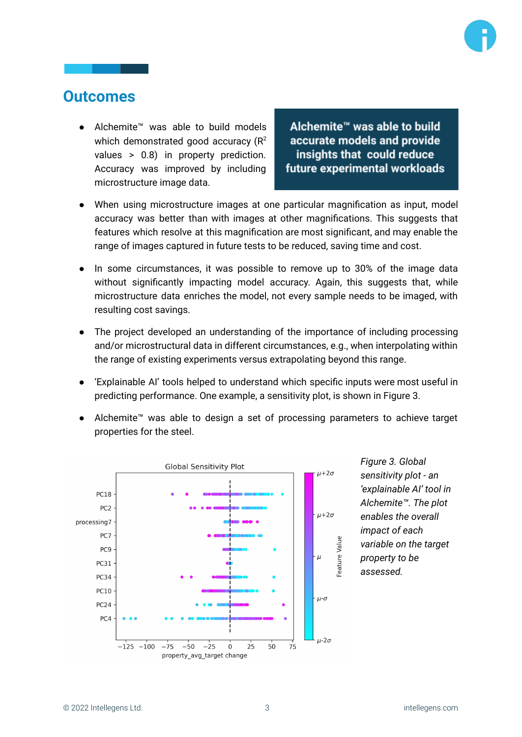

#### **Outcomes**

● Alchemite™ was able to build models which demonstrated good accuracy ( $R^2$ values > 0.8) in property prediction. Accuracy was improved by including microstructure image data.

Alchemite<sup>™</sup> was able to build accurate models and provide insights that could reduce future experimental workloads

- When using microstructure images at one particular magnification as input, model accuracy was better than with images at other magnifications. This suggests that features which resolve at this magnification are most significant, and may enable the range of images captured in future tests to be reduced, saving time and cost.
- In some circumstances, it was possible to remove up to 30% of the image data without significantly impacting model accuracy. Again, this suggests that, while microstructure data enriches the model, not every sample needs to be imaged, with resulting cost savings.
- The project developed an understanding of the importance of including processing and/or microstructural data in different circumstances, e.g., when interpolating within the range of existing experiments versus extrapolating beyond this range.
- 'Explainable AI' tools helped to understand which specific inputs were most useful in predicting performance. One example, a sensitivity plot, is shown in Figure 3.
- Alchemite™ was able to design a set of processing parameters to achieve target properties for the steel.



*Figure 3. Global sensitivity plot - an 'explainable AI' tool in Alchemite™. The plot enables the overall impact of each variable on the target property to be assessed.*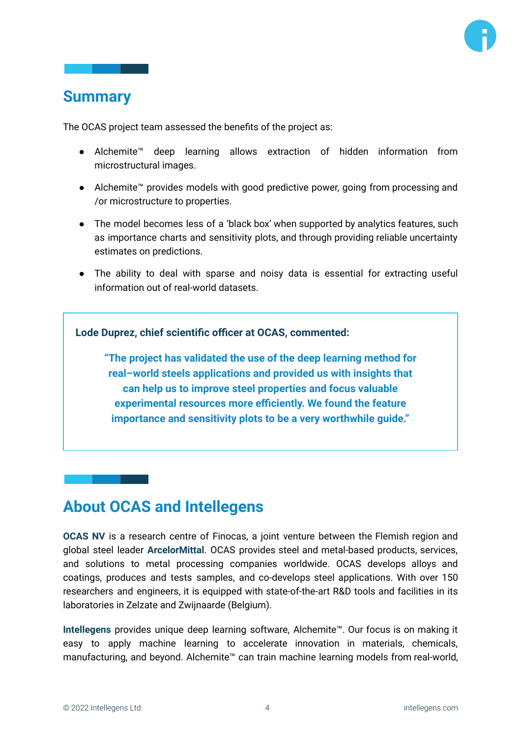#### **Summary**

The OCAS project team assessed the benefits of the project as:

- Alchemite™ deep learning allows extraction of hidden information from microstructural images.
- Alchemite™ provides models with good predictive power, going from processing and /or microstructure to properties.
- The model becomes less of a 'black box' when supported by analytics features, such as importance charts and sensitivity plots, and through providing reliable uncertainty estimates on predictions.
- The ability to deal with sparse and noisy data is essential for extracting useful information out of real-world datasets.

**Lode Duprez, chief scientific officer at OCAS, commented:**

**"The project has validated the use of the deep learning method for real–world steels applications and provided us with insights that can help us to improve steel properties and focus valuable experimental resources more efficiently. We found the feature importance and sensitivity plots to be a very worthwhile guide."**

#### **About OCAS and Intellegens**

**OCAS NV** is a research centre of Finocas, a joint venture between the Flemish region and global steel leader **ArcelorMittal**. OCAS provides steel and metal-based products, services, and solutions to metal processing companies worldwide. OCAS develops alloys and coatings, produces and tests samples, and co-develops steel applications. With over 150 researchers and engineers, it is equipped with state-of-the-art R&D tools and facilities in its laboratories in Zelzate and Zwijnaarde (Belgium).

**Intellegens** provides unique deep learning software, Alchemite™. Our focus is on making it easy to apply machine learning to accelerate innovation in materials, chemicals, manufacturing, and beyond. Alchemite™ can train machine learning models from real-world,